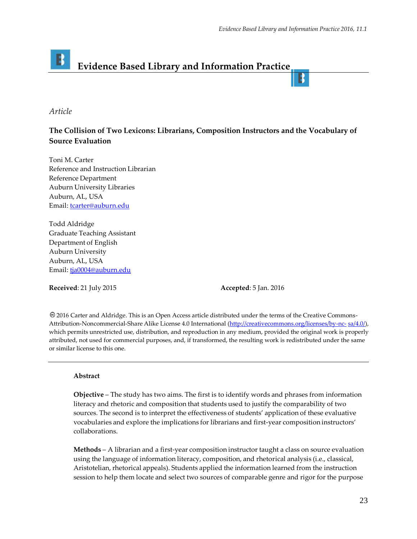В

# **Evidence Based Library and Information Practice**

# *Article*

# **The Collision of Two Lexicons: Librarians, Composition Instructors and the Vocabulary of Source Evaluation**

Toni M. Carter Reference and Instruction Librarian Reference Department Auburn University Libraries Auburn, AL, USA Email: [tcarter@auburn.edu](mailto:tcd0006@auburn.edu)

Todd Aldridge Graduate Teaching Assistant Department of English Auburn University Auburn, AL, USA Email: [tja0004@auburn.edu](mailto:tja0004@auburn.edu)

**Received**: 21 July 2015 **Accepted**: 5 Jan. 2016

2016 Carter and Aldridge. This is an Open Access article distributed under the terms of the Creative Commons‐ Attribution-Noncommercial-Share Alike License 4.0 International [\(http://creativecommons.org/licenses/by-nc-](http://creativecommons.org/licenses/by-nc-sa/4.0/) [sa/4.0/\)](http://creativecommons.org/licenses/by-nc-sa/4.0/), which permits unrestricted use, distribution, and reproduction in any medium, provided the original work is properly attributed, not used for commercial purposes, and, if transformed, the resulting work is redistributed under the same or similar license to this one.

# **Abstract**

**Objective** – The study has two aims. The first is to identify words and phrases from information literacy and rhetoric and composition that students used to justify the comparability of two sources. The second is to interpret the effectiveness of students' application of these evaluative vocabularies and explore the implications for librarians and first-year composition instructors' collaborations.

**Methods** – A librarian and a first-year composition instructor taught a class on source evaluation using the language of information literacy, composition, and rhetorical analysis (i.e., classical, Aristotelian, rhetorical appeals). Students applied the information learned from the instruction session to help them locate and select two sources of comparable genre and rigor for the purpose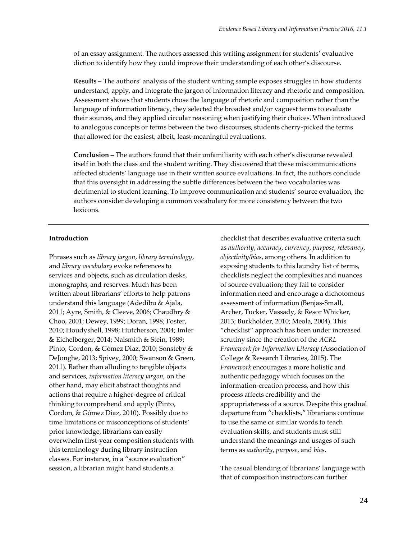of an essay assignment. The authors assessed this writing assignment for students' evaluative diction to identify how they could improve their understanding of each other's discourse.

**Results –** The authors' analysis of the student writing sample exposes struggles in how students understand, apply, and integrate the jargon of information literacy and rhetoric and composition. Assessment shows that students chose the language of rhetoric and composition rather than the language of information literacy, they selected the broadest and/or vaguest terms to evaluate their sources, and they applied circular reasoning when justifying their choices. When introduced to analogous concepts or terms between the two discourses, students cherry-picked the terms that allowed for the easiest, albeit, least-meaningful evaluations.

**Conclusion** – The authors found that their unfamiliarity with each other's discourse revealed itself in both the class and the student writing. They discovered that these miscommunications affected students' language use in their written source evaluations. In fact, the authors conclude that this oversight in addressing the subtle differences between the two vocabularies was detrimental to student learning. To improve communication and students' source evaluation, the authors consider developing a common vocabulary for more consistency between the two lexicons.

# **Introduction**

Phrases such as *library jargon*, *library terminology*, and *library vocabulary* evoke references to services and objects, such as circulation desks, monographs, and reserves. Much has been written about librarians' efforts to help patrons understand this language (Adedibu & Ajala, 2011; Ayre, Smith, & Cleeve, 2006; Chaudhry & Choo, 2001; Dewey, 1999; Doran, 1998; Foster, 2010; Houdyshell, 1998; Hutcherson, 2004; Imler & Eichelberger, 2014; Naismith & Stein, 1989; Pinto, Cordon, & Gómez Diaz, 2010; Sonsteby & DeJonghe, 2013; Spivey, 2000; Swanson & Green, 2011). Rather than alluding to tangible objects and services, *information literacy jargon*, on the other hand, may elicit abstract thoughts and actions that require a higher-degree of critical thinking to comprehend and apply (Pinto, Cordon, & Gómez Diaz, 2010). Possibly due to time limitations or misconceptions of students' prior knowledge, librarians can easily overwhelm first-year composition students with this terminology during library instruction classes. For instance, in a "source evaluation" session, a librarian might hand students a

checklist that describes evaluative criteria such as *authority*, *accuracy*, *currency*, *purpose*, *relevancy*, *objectivity/bias*, among others. In addition to exposing students to this laundry list of terms, checklists neglect the complexities and nuances of source evaluation; they fail to consider information need and encourage a dichotomous assessment of information (Benjas-Small, Archer, Tucker, Vassady, & Resor Whicker, 2013; Burkholder, 2010; Meola, 2004). This "checklist" approach has been under increased scrutiny since the creation of the *ACRL Framework for Information Literacy* (Association of College & Research Libraries, 2015). The *Framework* encourages a more holistic and authentic pedagogy which focuses on the information-creation process, and how this process affects credibility and the appropriateness of a source. Despite this gradual departure from "checklists," librarians continue to use the same or similar words to teach evaluation skills, and students must still understand the meanings and usages of such terms as *authority*, *purpose*, and *bias*.

The casual blending of librarians' language with that of composition instructors can further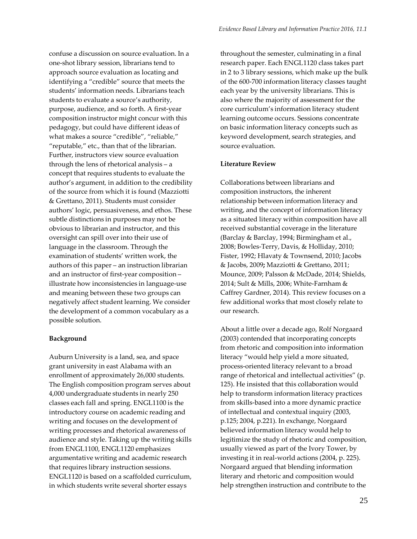confuse a discussion on source evaluation. In a one-shot library session, librarians tend to approach source evaluation as locating and identifying a "credible" source that meets the students' information needs. Librarians teach students to evaluate a source's authority, purpose, audience, and so forth. A first-year composition instructor might concur with this pedagogy, but could have different ideas of what makes a source "credible", "reliable," "reputable," etc., than that of the librarian. Further, instructors view source evaluation through the lens of rhetorical analysis – a concept that requires students to evaluate the author's argument*,* in addition to the credibility of the source from which it is found (Mazziotti & Grettano, 2011). Students must consider authors' logic, persuasiveness, and ethos. These subtle distinctions in purposes may not be obvious to librarian and instructor, and this oversight can spill over into their use of language in the classroom. Through the examination of students' written work, the authors of this paper – an instruction librarian and an instructor of first-year composition – illustrate how inconsistencies in language-use and meaning between these two groups can negatively affect student learning. We consider the development of a common vocabulary as a possible solution.

## **Background**

Auburn University is a land, sea, and space grant university in east Alabama with an enrollment of approximately 26,000 students. The English composition program serves about 4,000 undergraduate students in nearly 250 classes each fall and spring. ENGL1100 is the introductory course on academic reading and writing and focuses on the development of writing processes and rhetorical awareness of audience and style. Taking up the writing skills from ENGL1100, ENGL1120 emphasizes argumentative writing and academic research that requires library instruction sessions. ENGL1120 is based on a scaffolded curriculum, in which students write several shorter essays

throughout the semester, culminating in a final research paper. Each ENGL1120 class takes part in 2 to 3 library sessions, which make up the bulk of the 600-700 information literacy classes taught each year by the university librarians. This is also where the majority of assessment for the core curriculum's information literacy student learning outcome occurs. Sessions concentrate on basic information literacy concepts such as keyword development, search strategies, and source evaluation.

# **Literature Review**

Collaborations between librarians and composition instructors, the inherent relationship between information literacy and writing, and the concept of information literacy as a situated literacy within composition have all received substantial coverage in the literature (Barclay & Barclay, 1994; Birmingham et al., 2008; Bowles-Terry, Davis, & Holliday, 2010; Fister, 1992; Hlavaty & Townsend, 2010; Jacobs & Jacobs, 2009**;** Mazziotti & Grettano, 2011; Mounce, 2009; Palsson & McDade, 2014; Shields, 2014; Sult & Mills, 2006; White-Farnham & Caffrey Gardner, 2014). This review focuses on a few additional works that most closely relate to our research.

About a little over a decade ago, Rolf Norgaard (2003) contended that incorporating concepts from rhetoric and composition into information literacy "would help yield a more situated, process-oriented literacy relevant to a broad range of rhetorical and intellectual activities" (p. 125). He insisted that this collaboration would help to transform information literacy practices from skills-based into a more dynamic practice of intellectual and contextual inquiry (2003, p.125; 2004, p.221). In exchange, Norgaard believed information literacy would help to legitimize the study of rhetoric and composition, usually viewed as part of the Ivory Tower, by investing it in real-world actions (2004, p. 225). Norgaard argued that blending information literary and rhetoric and composition would help strengthen instruction and contribute to the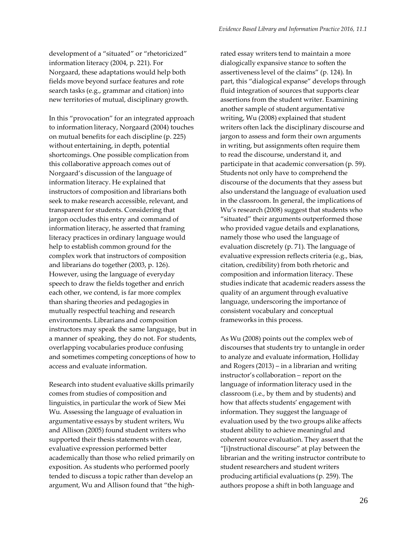development of a "situated" or "rhetoricized" information literacy (2004, p. 221). For Norgaard, these adaptations would help both fields move beyond surface features and rote search tasks (e.g., grammar and citation) into new territories of mutual, disciplinary growth.

In this "provocation" for an integrated approach to information literacy, Norgaard (2004) touches on mutual benefits for each discipline (p. 225) without entertaining, in depth, potential shortcomings. One possible complication from this collaborative approach comes out of Norgaard's discussion of the language of information literacy. He explained that instructors of composition and librarians both seek to make research accessible, relevant, and transparent for students. Considering that jargon occludes this entry and command of information literacy, he asserted that framing literacy practices in ordinary language would help to establish common ground for the complex work that instructors of composition and librarians do together (2003, p. 126). However, using the language of everyday speech to draw the fields together and enrich each other, we contend, is far more complex than sharing theories and pedagogies in mutually respectful teaching and research environments. Librarians and composition instructors may speak the same language, but in a manner of speaking, they do not. For students, overlapping vocabularies produce confusing and sometimes competing conceptions of how to access and evaluate information.

Research into student evaluative skills primarily comes from studies of composition and linguistics, in particular the work of Siew Mei Wu. Assessing the language of evaluation in argumentative essays by student writers, Wu and Allison (2005) found student writers who supported their thesis statements with clear, evaluative expression performed better academically than those who relied primarily on exposition. As students who performed poorly tended to discuss a topic rather than develop an argument, Wu and Allison found that "the high-

rated essay writers tend to maintain a more dialogically expansive stance to soften the assertiveness level of the claims" (p. 124). In part, this "dialogical expanse" develops through fluid integration of sources that supports clear assertions from the student writer. Examining another sample of student argumentative writing, Wu (2008) explained that student writers often lack the disciplinary discourse and jargon to assess and form their own arguments in writing, but assignments often require them to read the discourse, understand it, and participate in that academic conversation (p. 59). Students not only have to comprehend the discourse of the documents that they assess but also understand the language of evaluation used in the classroom. In general, the implications of Wu's research (2008) suggest that students who "situated" their arguments outperformed those who provided vague details and explanations, namely those who used the language of evaluation discretely (p. 71). The language of evaluative expression reflects criteria (e.g., bias, citation, credibility) from both rhetoric and composition and information literacy. These studies indicate that academic readers assess the quality of an argument through evaluative language, underscoring the importance of consistent vocabulary and conceptual frameworks in this process.

As Wu (2008) points out the complex web of discourses that students try to untangle in order to analyze and evaluate information, Holliday and Rogers (2013) – in a librarian and writing instructor's collaboration – report on the language of information literacy used in the classroom (i.e., by them and by students) and how that affects students' engagement with information. They suggest the language of evaluation used by the two groups alike affects student ability to achieve meaningful and coherent source evaluation. They assert that the "[i]nstructional discourse" at play between the librarian and the writing instructor contribute to student researchers and student writers producing artificial evaluations (p. 259). The authors propose a shift in both language and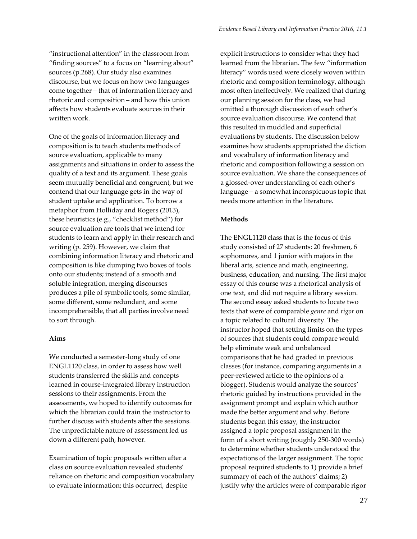"instructional attention" in the classroom from "finding sources" to a focus on "learning about" sources (p.268). Our study also examines discourse, but we focus on how two languages come together – that of information literacy and rhetoric and composition – and how this union affects how students evaluate sources in their written work.

One of the goals of information literacy and composition is to teach students methods of source evaluation, applicable to many assignments and situations in order to assess the quality of a text and its argument. These goals seem mutually beneficial and congruent, but we contend that our language gets in the way of student uptake and application. To borrow a metaphor from Holliday and Rogers (2013), these heuristics (e.g., "checklist method") for source evaluation are tools that we intend for students to learn and apply in their research and writing (p. 259). However, we claim that combining information literacy and rhetoric and composition is like dumping two boxes of tools onto our students; instead of a smooth and soluble integration, merging discourses produces a pile of symbolic tools, some similar, some different, some redundant, and some incomprehensible, that all parties involve need to sort through.

## **Aims**

We conducted a semester-long study of one ENGL1120 class, in order to assess how well students transferred the skills and concepts learned in course-integrated library instruction sessions to their assignments. From the assessments, we hoped to identify outcomes for which the librarian could train the instructor to further discuss with students after the sessions. The unpredictable nature of assessment led us down a different path, however.

Examination of topic proposals written after a class on source evaluation revealed students' reliance on rhetoric and composition vocabulary to evaluate information; this occurred, despite

explicit instructions to consider what they had learned from the librarian. The few "information literacy" words used were closely woven within rhetoric and composition terminology, although most often ineffectively. We realized that during our planning session for the class, we had omitted a thorough discussion of each other's source evaluation discourse. We contend that this resulted in muddled and superficial evaluations by students. The discussion below examines how students appropriated the diction and vocabulary of information literacy and rhetoric and composition following a session on source evaluation. We share the consequences of a glossed-over understanding of each other's language – a somewhat inconspicuous topic that needs more attention in the literature.

#### **Methods**

The ENGL1120 class that is the focus of this study consisted of 27 students: 20 freshmen, 6 sophomores, and 1 junior with majors in the liberal arts, science and math, engineering, business, education, and nursing. The first major essay of this course was a rhetorical analysis of one text, and did not require a library session. The second essay asked students to locate two texts that were of comparable *genre* and *rigor* on a topic related to cultural diversity. The instructor hoped that setting limits on the types of sources that students could compare would help eliminate weak and unbalanced comparisons that he had graded in previous classes (for instance, comparing arguments in a peer-reviewed article to the opinions of a blogger). Students would analyze the sources' rhetoric guided by instructions provided in the assignment prompt and explain which author made the better argument and why. Before students began this essay, the instructor assigned a topic proposal assignment in the form of a short writing (roughly 250-300 words) to determine whether students understood the expectations of the larger assignment. The topic proposal required students to 1) provide a brief summary of each of the authors' claims; 2) justify why the articles were of comparable rigor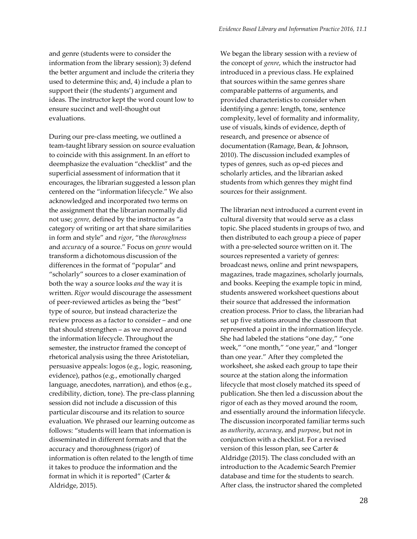and genre (students were to consider the information from the library session); 3) defend the better argument and include the criteria they used to determine this; and, 4) include a plan to support their (the students') argument and ideas. The instructor kept the word count low to ensure succinct and well-thought out evaluations.

During our pre-class meeting, we outlined a team-taught library session on source evaluation to coincide with this assignment. In an effort to deemphasize the evaluation "checklist" and the superficial assessment of information that it encourages, the librarian suggested a lesson plan centered on the "information lifecycle." We also acknowledged and incorporated two terms on the assignment that the librarian normally did not use; *genre,* defined by the instructor as "a category of writing or art that share similarities in form and style" and *rigor*, "the *thoroughness*  and *accuracy* of a source." Focus on *genre* would transform a dichotomous discussion of the differences in the format of "popular" and "scholarly" sources to a closer examination of both the way a source looks *and* the way it is written. *Rigor* would discourage the assessment of peer-reviewed articles as being the "best" type of source, but instead characterize the review process as a factor to consider – and one that should strengthen – as we moved around the information lifecycle. Throughout the semester, the instructor framed the concept of rhetorical analysis using the three Aristotelian, persuasive appeals: logos (e.g., logic, reasoning, evidence), pathos (e.g., emotionally charged language, anecdotes, narration), and ethos (e.g., credibility, diction, tone). The pre-class planning session did not include a discussion of this particular discourse and its relation to source evaluation. We phrased our learning outcome as follows: "students will learn that information is disseminated in different formats and that the accuracy and thoroughness (rigor) of information is often related to the length of time it takes to produce the information and the format in which it is reported" (Carter & Aldridge, 2015).

We began the library session with a review of the concept of *genre*, which the instructor had introduced in a previous class. He explained that sources within the same genres share comparable patterns of arguments, and provided characteristics to consider when identifying a genre: length, tone, sentence complexity, level of formality and informality, use of visuals, kinds of evidence, depth of research, and presence or absence of documentation (Ramage, Bean, & Johnson, 2010). The discussion included examples of types of genres, such as op-ed pieces and scholarly articles, and the librarian asked students from which genres they might find sources for their assignment.

The librarian next introduced a current event in cultural diversity that would serve as a class topic. She placed students in groups of two, and then distributed to each group a piece of paper with a pre-selected source written on it. The sources represented a variety of genres: broadcast news, online and print newspapers, magazines, trade magazines, scholarly journals, and books. Keeping the example topic in mind, students answered worksheet questions about their source that addressed the information creation process. Prior to class, the librarian had set up five stations around the classroom that represented a point in the information lifecycle. She had labeled the stations "one day," "one week," "one month," "one year," and "longer than one year." After they completed the worksheet, she asked each group to tape their source at the station along the information lifecycle that most closely matched its speed of publication. She then led a discussion about the rigor of each as they moved around the room, and essentially around the information lifecycle. The discussion incorporated familiar terms such as *authority*, *accuracy*, and *purpose*, but not in conjunction with a checklist. For a revised version of this lesson plan, see Carter & Aldridge (2015). The class concluded with an introduction to the Academic Search Premier database and time for the students to search. After class, the instructor shared the completed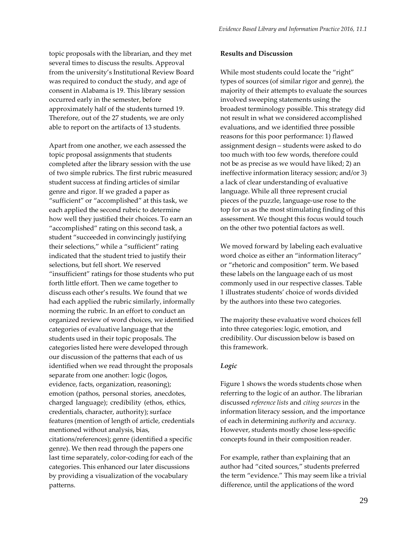topic proposals with the librarian, and they met several times to discuss the results. Approval from the university's Institutional Review Board was required to conduct the study, and age of consent in Alabama is 19. This library session occurred early in the semester, before approximately half of the students turned 19. Therefore, out of the 27 students, we are only able to report on the artifacts of 13 students.

Apart from one another, we each assessed the topic proposal assignments that students completed after the library session with the use of two simple rubrics. The first rubric measured student success at finding articles of similar genre and rigor. If we graded a paper as "sufficient" or "accomplished" at this task, we each applied the second rubric to determine how well they justified their choices. To earn an "accomplished" rating on this second task, a student "succeeded in convincingly justifying their selections," while a "sufficient" rating indicated that the student tried to justify their selections, but fell short. We reserved "insufficient" ratings for those students who put forth little effort. Then we came together to discuss each other's results. We found that we had each applied the rubric similarly, informally norming the rubric. In an effort to conduct an organized review of word choices, we identified categories of evaluative language that the students used in their topic proposals. The categories listed here were developed through our discussion of the patterns that each of us identified when we read throught the proposals separate from one another: logic (logos, evidence, facts, organization, reasoning); emotion (pathos, personal stories, anecdotes, charged language); credibility (ethos, ethics, credentials, character, authority); surface features (mention of length of article, credentials mentioned without analysis, bias, citations/references); genre (identified a specific genre). We then read through the papers one last time separately, color-coding for each of the categories. This enhanced our later discussions by providing a visualization of the vocabulary patterns.

#### **Results and Discussion**

While most students could locate the "right" types of sources (of similar rigor and genre), the majority of their attempts to evaluate the sources involved sweeping statements using the broadest terminology possible. This strategy did not result in what we considered accomplished evaluations, and we identified three possible reasons for this poor performance: 1) flawed assignment design – students were asked to do too much with too few words, therefore could not be as precise as we would have liked; 2) an ineffective information literacy session; and/or 3) a lack of clear understanding of evaluative language. While all three represent crucial pieces of the puzzle, language-use rose to the top for us as the most stimulating finding of this assessment. We thought this focus would touch on the other two potential factors as well.

We moved forward by labeling each evaluative word choice as either an "information literacy" or "rhetoric and composition" term. We based these labels on the language each of us most commonly used in our respective classes. Table 1 illustrates students' choice of words divided by the authors into these two categories.

The majority these evaluative word choices fell into three categories: logic, emotion, and credibility. Our discussion below is based on this framework.

## *Logic*

Figure 1 shows the words students chose when referring to the logic of an author. The librarian discussed *reference lists* and *citing sources* in the information literacy session, and the importance of each in determining *authority* and *accuracy*. However, students mostly chose less-specific concepts found in their composition reader.

For example, rather than explaining that an author had "cited sources," students preferred the term "evidence." This may seem like a trivial difference, until the applications of the word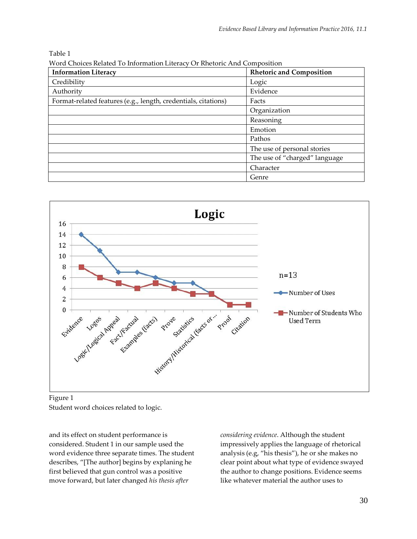| <b>Information Literacy</b>                                    | <b>Rhetoric and Composition</b> |
|----------------------------------------------------------------|---------------------------------|
| Credibility                                                    | Logic                           |
| Authority                                                      | Evidence                        |
| Format-related features (e.g., length, credentials, citations) | Facts                           |
|                                                                | Organization                    |
|                                                                | Reasoning                       |
|                                                                | Emotion                         |
|                                                                | Pathos                          |
|                                                                | The use of personal stories     |
|                                                                | The use of "charged" language   |
|                                                                | Character                       |
|                                                                | Genre                           |





Figure 1 Student word choices related to logic.

and its effect on student performance is considered. Student 1 in our sample used the word evidence three separate times. The student describes, "[The author] begins by explaning he first believed that gun control was a positive move forward, but later changed *his thesis after*

*considering evidence*. Although the student impressively applies the language of rhetorical analysis (e.g, "his thesis"), he or she makes no clear point about what type of evidence swayed the author to change positions. Evidence seems like whatever material the author uses to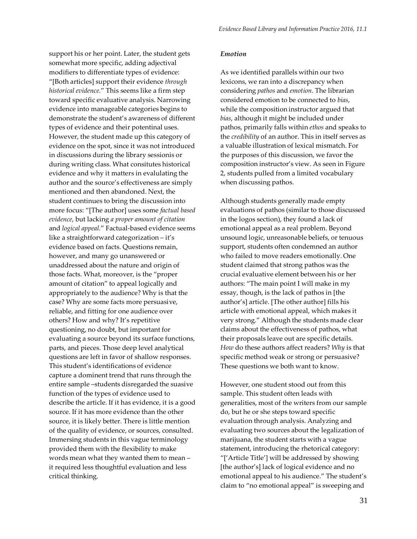support his or her point. Later, the student gets somewhat more specific, adding adjectival modifiers to differentiate types of evidence: "[Both articles] support their evidence *through historical evidence.*" This seems like a firm step toward specific evaluative analysis. Narrowing evidence into manageable categories begins to demonstrate the student's awareness of different types of evidence and their potentinal uses. However, the student made up this category of evidence on the spot, since it was not introduced in discussions during the library sessionis or during writing class. What consitutes historical evidence and why it matters in evalulating the author and the source's effectiveness are simply mentioned and then abandoned. Next, the student continues to bring the discussion into more focus: "[The author] uses some *factual based evidence*, but lacking *a proper amount of citation* and *logical appeal.*" Factual-based evidence seems like a straightforward categorization – it's evidence based on facts. Questions remain, however, and many go unanswered or unaddressed about the nature and origin of those facts. What, moreover, is the "proper amount of citation" to appeal logically and appropriately to the audience? Why is that the case? Why are some facts more persuasive, reliable, and fitting for one audience over others? How and why? It's repetitive questioning, no doubt, but important for evaluating a source beyond its surface functions, parts, and pieces. Those deep level analytical questions are left in favor of shallow responses. This student's identifications of evidence capture a dominent trend that runs through the entire sample –students disregarded the suasive function of the types of evidence used to describe the article. If it has evidence, it is a good source. If it has more evidence than the other source, it is likely better. There is little mention of the quality of evidence, or sources, consulted. Immersing students in this vague terminology provided them with the flexibility to make words mean what they wanted them to mean – it required less thoughtful evaluation and less critical thinking.

#### *Emotion*

As we identified parallels within our two lexicons, we ran into a discrepancy when considering *pathos* and *emotion*. The librarian considered emotion to be connected to *bias*, while the composition instructor argued that *bias*, although it might be included under pathos, primarily falls within *ethos* and speaks to the *credibility* of an author. This in itself serves as a valuable illustration of lexical mismatch. For the purposes of this discussion, we favor the composition instructor's view. As seen in Figure 2, students pulled from a limited vocabulary when discussing pathos.

Although students generally made empty evaluations of pathos (similar to those discussed in the logos section), they found a lack of emotional appeal as a real problem. Beyond unsound logic, unreasonable beliefs, or tenuous support, students often condemned an author who failed to move readers emotionally. One student claimed that strong pathos was the crucial evaluative element between his or her authors: "The main point I will make in my essay, though, is the lack of pathos in [the author's] article. [The other author] fills his article with emotional appeal, which makes it very strong." Although the students made clear claims about the effectiveness of pathos, what their proposals leave out are specific details. *How* do these authors affect readers? *Why* is that specific method weak or strong or persuasive? These questions we both want to know.

However, one student stood out from this sample. This student often leads with generalities, most of the writers from our sample do, but he or she steps toward specific evaluation through analysis. Analyzing and evaluating two sources about the legalization of marijuana, the student starts with a vague statement, introducing the rhetorical category: "['Article Title'] will be addressed by showing [the author's] lack of logical evidence and no emotional appeal to his audience." The student's claim to "no emotional appeal" is sweeping and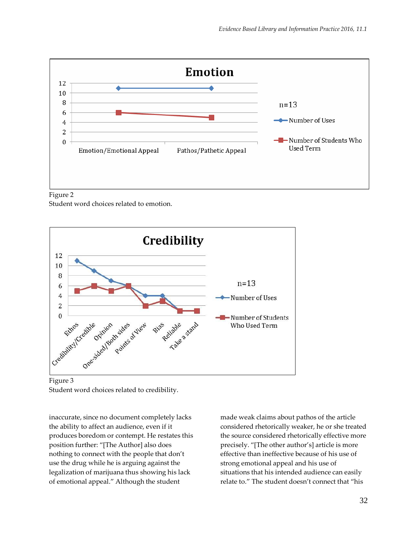





Figure 3 Student word choices related to credibility.

inaccurate, since no document completely lacks the ability to affect an audience, even if it produces boredom or contempt. He restates this position further: "[The Author] also does nothing to connect with the people that don't use the drug while he is arguing against the legalization of marijuana thus showing his lack of emotional appeal." Although the student

made weak claims about pathos of the article considered rhetorically weaker, he or she treated the source considered rhetorically effective more precisely. "[The other author's] article is more effective than ineffective because of his use of strong emotional appeal and his use of situations that his intended audience can easily relate to." The student doesn't connect that "his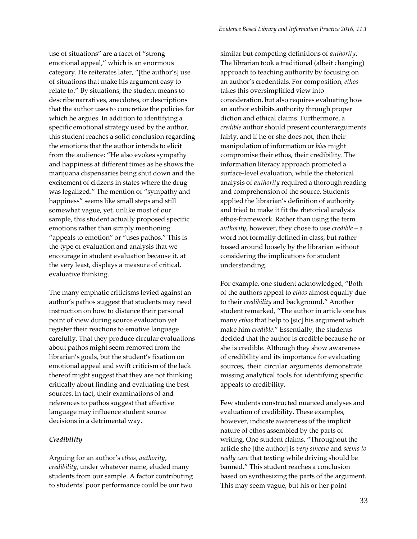use of situations" are a facet of "strong emotional appeal," which is an enormous category. He reiterates later, "[the author's] use of situations that make his argument easy to relate to." By situations, the student means to describe narratives, anecdotes, or descriptions that the author uses to concretize the policies for which he argues. In addition to identifying a specific emotional strategy used by the author, this student reaches a solid conclusion regarding the emotions that the author intends to elicit from the audience: "He also evokes sympathy and happiness at different times as he shows the marijuana dispensaries being shut down and the excitement of citizens in states where the drug was legalized." The mention of "sympathy and happiness" seems like small steps and still somewhat vague, yet, unlike most of our sample, this student actually proposed specific emotions rather than simply mentioning "appeals to emotion" or "uses pathos." This is the type of evaluation and analysis that we encourage in student evaluation because it, at the very least, displays a measure of critical, evaluative thinking.

The many emphatic criticisms levied against an author's pathos suggest that students may need instruction on how to distance their personal point of view during source evaluation yet register their reactions to emotive language carefully. That they produce circular evaluations about pathos might seem removed from the librarian's goals, but the student's fixation on emotional appeal and swift criticism of the lack thereof might suggest that they are not thinking critically about finding and evaluating the best sources. In fact, their examinations of and references to pathos suggest that affective language may influence student source decisions in a detrimental way.

#### *Credibility*

Arguing for an author's *ethos*, *authority*, *credibility*, under whatever name, eluded many students from our sample. A factor contributing to students' poor performance could be our two

similar but competing definitions of *authority*. The librarian took a traditional (albeit changing) approach to teaching authority by focusing on an author's credentials. For composition, *ethos*  takes this oversimplified view into consideration, but also requires evaluating how an author exhibits authority through proper diction and ethical claims. Furthermore, a *credible* author should present counterarguments fairly, and if he or she does not, then their manipulation of information or *bias* might compromise their ethos, their credibility. The information literacy approach promoted a surface-level evaluation, while the rhetorical analysis of *authority* required a thorough reading and comprehension of the source. Students applied the librarian's definition of authority and tried to make it fit the rhetorical analysis ethos-framework. Rather than using the term *authority*, however, they chose to use *credible –* a word not formally defined in class, but rather tossed around loosely by the librarian without considering the implications for student understanding.

For example, one student acknowledged, "Both of the authors appeal to *ethos* almost equally due to their *credibility* and background." Another student remarked, "The author in article one has many *ethos* that help to [sic] his argument which make him *credible*." Essentially, the students decided that the author is credible because he or she is credible. Although they show awareness of credibility and its importance for evaluating sources, their circular arguments demonstrate missing analytical tools for identifying specific appeals to credibility.

Few students constructed nuanced analyses and evaluation of credibility. These examples, however, indicate awareness of the implicit nature of ethos assembled by the parts of writing. One student claims, "Throughout the article she [the author] is *very sincere* and *seems to really care* that texting while driving should be banned." This student reaches a conclusion based on synthesizing the parts of the argument. This may seem vague, but his or her point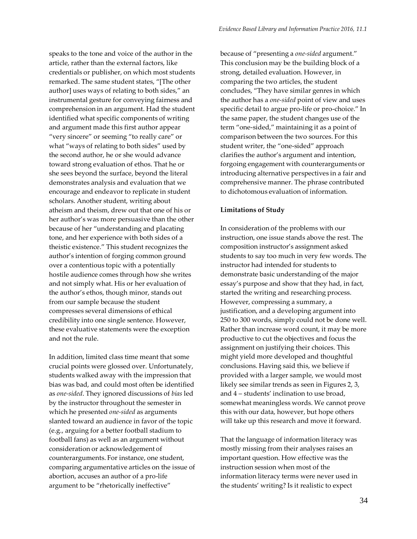speaks to the tone and voice of the author in the article, rather than the external factors, like credentials or publisher, on which most students remarked. The same student states, "[The other author] uses ways of relating to both sides," an instrumental gesture for conveying fairness and comprehension in an argument. Had the student identified what specific components of writing and argument made this first author appear "very sincere" or seeming "to really care" or what "ways of relating to both sides" used by the second author, he or she would advance toward strong evaluation of ethos. That he or she sees beyond the surface, beyond the literal demonstrates analysis and evaluation that we encourage and endeavor to replicate in student scholars. Another student, writing about atheism and theism, drew out that one of his or her author's was more persuasive than the other because of her "understanding and placating tone, and her experience with both sides of a theistic existence." This student recognizes the author's intention of forging common ground over a contentious topic with a potentially hostile audience comes through how she writes and not simply what. His or her evaluation of the author's ethos, though minor, stands out from our sample because the student compresses several dimensions of ethical credibility into one single sentence. However, these evaluative statements were the exception and not the rule.

In addition, limited class time meant that some crucial points were glossed over. Unfortunately, students walked away with the impression that bias was bad, and could most often be identified as *one-sided*. They ignored discussions of *bias* led by the instructor throughout the semester in which he presented *one-sided* as arguments slanted toward an audience in favor of the topic (e.g., arguing for a better football stadium to football fans) as well as an argument without consideration or acknowledgement of counterarguments. For instance, one student, comparing argumentative articles on the issue of abortion, accuses an author of a pro-life argument to be "rhetorically ineffective"

because of "presenting a *one-sided* argument." This conclusion may be the building block of a strong, detailed evaluation. However, in comparing the two articles, the student concludes, "They have similar genres in which the author has a *one-sided* point of view and uses specific detail to argue pro-life or pro-choice." In the same paper, the student changes use of the term "one-sided," maintaining it as a point of comparison between the two sources. For this student writer, the "one-sided" approach clarifies the author's argument and intention, forgoing engagement with counterarguments or introducing alternative perspectives in a fair and comprehensive manner. The phrase contributed to dichotomous evaluation of information.

#### **Limitations of Study**

In consideration of the problems with our instruction, one issue stands above the rest. The composition instructor's assignment asked students to say too much in very few words. The instructor had intended for students to demonstrate basic understanding of the major essay's purpose and show that they had, in fact, started the writing and researching process. However, compressing a summary, a justification, and a developing argument into 250 to 300 words, simply could not be done well. Rather than increase word count, it may be more productive to cut the objectives and focus the assignment on justifying their choices. This might yield more developed and thoughtful conclusions. Having said this, we believe if provided with a larger sample, we would most likely see similar trends as seen in Figures 2, 3, and 4 – students' inclination to use broad, somewhat meaningless words. We cannot prove this with our data, however, but hope others will take up this research and move it forward.

That the language of information literacy was mostly missing from their analyses raises an important question. How effective was the instruction session when most of the information literacy terms were never used in the students' writing? Is it realistic to expect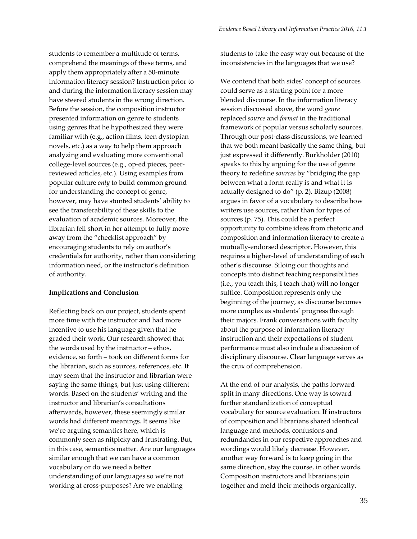students to remember a multitude of terms, comprehend the meanings of these terms, and apply them appropriately after a 50-minute information literacy session? Instruction prior to and during the information literacy session may have steered students in the wrong direction. Before the session, the composition instructor presented information on genre to students using genres that he hypothesized they were familiar with (e.g., action films, teen dystopian novels, etc.) as a way to help them approach analyzing and evaluating more conventional college-level sources (e.g., op-ed pieces, peerreviewed articles, etc.). Using examples from popular culture *only* to build common ground for understanding the concept of genre, however, may have stunted students' ability to see the transferability of these skills to the evaluation of academic sources. Moreover, the librarian fell short in her attempt to fully move away from the "checklist approach" by encouraging students to rely on author's credentials for authority, rather than considering information need, or the instructor's definition of authority.

#### **Implications and Conclusion**

Reflecting back on our project, students spent more time with the instructor and had more incentive to use his language given that he graded their work. Our research showed that the words used by the instructor – ethos, evidence, so forth – took on different forms for the librarian, such as sources, references, etc. It may seem that the instructor and librarian were saying the same things, but just using different words. Based on the students' writing and the instructor and librarian's consultations afterwards, however, these seemingly similar words had different meanings. It seems like we're arguing semantics here, which is commonly seen as nitpicky and frustrating. But, in this case, semantics matter. Are our languages similar enough that we can have a common vocabulary or do we need a better understanding of our languages so we're not working at cross-purposes? Are we enabling

students to take the easy way out because of the inconsistencies in the languages that we use?

We contend that both sides' concept of sources could serve as a starting point for a more blended discourse. In the information literacy session discussed above, the word *genre*  replaced *source* and *format* in the traditional framework of popular versus scholarly sources. Through our post-class discussions, we learned that we both meant basically the same thing, but just expressed it differently. Burkholder (2010) speaks to this by arguing for the use of genre theory to redefine *sources* by "bridging the gap between what a form really is and what it is actually designed to do" (p. 2). Bizup (2008) argues in favor of a vocabulary to describe how writers use sources, rather than for types of sources (p. 75). This could be a perfect opportunity to combine ideas from rhetoric and composition and information literacy to create a mutually-endorsed descriptor. However, this requires a higher-level of understanding of each other's discourse. Siloing our thoughts and concepts into distinct teaching responsibilities (i.e., you teach this, I teach that) will no longer suffice. Composition represents only the beginning of the journey, as discourse becomes more complex as students' progress through their majors. Frank conversations with faculty about the purpose of information literacy instruction and their expectations of student performance must also include a discussion of disciplinary discourse. Clear language serves as the crux of comprehension.

At the end of our analysis, the paths forward split in many directions. One way is toward further standardization of conceptual vocabulary for source evaluation. If instructors of composition and librarians shared identical language and methods, confusions and redundancies in our respective approaches and wordings would likely decrease. However, another way forward is to keep going in the same direction, stay the course, in other words. Composition instructors and librarians join together and meld their methods organically.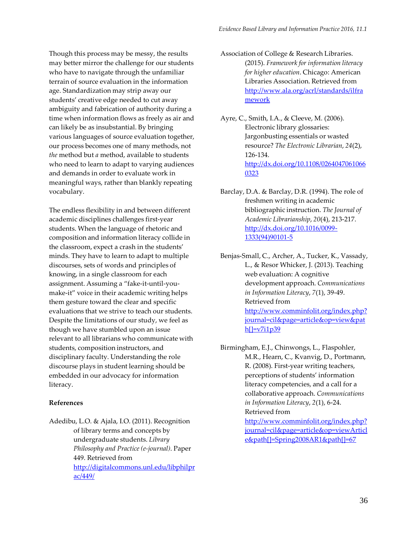Though this process may be messy, the results may better mirror the challenge for our students who have to navigate through the unfamiliar terrain of source evaluation in the information age. Standardization may strip away our students' creative edge needed to cut away ambiguity and fabrication of authority during a time when information flows as freely as air and can likely be as insubstantial. By bringing various languages of source evaluation together, our process becomes one of many methods, not *the* method but *a* method, available to students who need to learn to adapt to varying audiences and demands in order to evaluate work in meaningful ways, rather than blankly repeating vocabulary.

The endless flexibility in and between different academic disciplines challenges first-year students. When the language of rhetoric and composition and information literacy collide in the classroom, expect a crash in the students' minds. They have to learn to adapt to multiple discourses, sets of words and principles of knowing, in a single classroom for each assignment. Assuming a "fake-it-until-youmake-it" voice in their academic writing helps them gesture toward the clear and specific evaluations that we strive to teach our students. Despite the limitations of our study, we feel as though we have stumbled upon an issue relevant to all librarians who communicate with students, composition instructors, and disciplinary faculty. Understanding the role discourse plays in student learning should be embedded in our advocacy for information literacy.

# **References**

Adedibu, L.O. & Ajala, I.O. (2011). Recognition of library terms and concepts by undergraduate students. *Library Philosophy and Practice (e-journal)*. Paper 449. Retrieved from [http://digitalcommons.unl.edu/libphilpr](http://digitalcommons.unl.edu/libphilprac/449/) [ac/449/](http://digitalcommons.unl.edu/libphilprac/449/)

Association of College & Research Libraries. (2015). *Framework for information literacy for higher education*. Chicago: American Libraries Association. Retrieved from [http://www.ala.org/acrl/standards/ilfra](http://www.ala.org/acrl/standards/ilframework) [mework](http://www.ala.org/acrl/standards/ilframework)

Ayre, C., Smith, I.A., & Cleeve, M. (2006). Electronic library glossaries: Jargonbusting essentials or wasted resource? *The Electronic Librarian*, *24*(2), 126-134. [http://dx.doi.org/10.1108/0264047061066](http://dx.doi.org/10.1108/02640470610660323) [0323](http://dx.doi.org/10.1108/02640470610660323)

Barclay, D.A. & Barclay, D.R. (1994). The role of freshmen writing in academic bibliographic instruction. *The Journal of Academic Librarianship*, *20*(4), 213-217. [http://dx.doi.org/10.1016/0099-](http://dx.doi.org/10.1016/0099-1333(94)90101-5) [1333\(94\)90101-5](http://dx.doi.org/10.1016/0099-1333(94)90101-5)

Benjas-Small, C., Archer, A., Tucker, K., Vassady, L., & Resor Whicker, J. (2013). Teaching web evaluation: A cognitive development approach. *Communications in Information Literacy*, *7*(1), 39-49. Retrieved from [http://www.comminfolit.org/index.php?](http://www.comminfolit.org/index.php?journal=cil&page=article&op=view&path%5b%5d=v7i1p39) [journal=cil&page=article&op=view&pat](http://www.comminfolit.org/index.php?journal=cil&page=article&op=view&path%5b%5d=v7i1p39) [h\[\]=v7i1p39](http://www.comminfolit.org/index.php?journal=cil&page=article&op=view&path%5b%5d=v7i1p39)

Birmingham, E.J., Chinwongs, L., Flaspohler, M.R., Hearn, C., Kvanvig, D., Portmann, R. (2008). First-year writing teachers, perceptions of students' information literacy competencies, and a call for a collaborative approach. *Communications in Information Literacy*, *2*(1), 6-24. Retrieved from [http://www.comminfolit.org/index.php?](http://www.comminfolit.org/index.php?journal=cil&page=article&op=viewArticle&path%5b%5d=Spring2008AR1&path%5b%5d=67) [journal=cil&page=article&op=viewArticl](http://www.comminfolit.org/index.php?journal=cil&page=article&op=viewArticle&path%5b%5d=Spring2008AR1&path%5b%5d=67)

[e&path\[\]=Spring2008AR1&path\[\]=67](http://www.comminfolit.org/index.php?journal=cil&page=article&op=viewArticle&path%5b%5d=Spring2008AR1&path%5b%5d=67)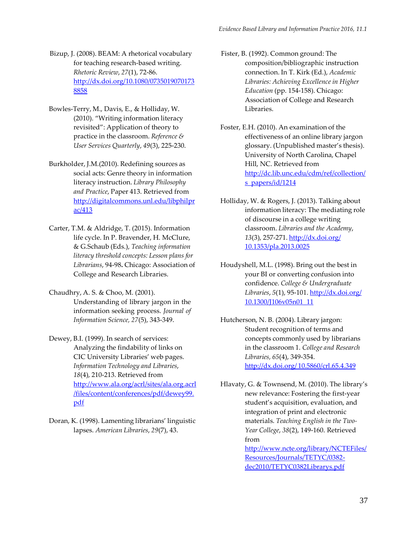- Bizup, J. (2008). BEAM: A rhetorical vocabulary for teaching research-based writing. *Rhetoric Review*, *27*(1), 72-86. [http://dx.doi.org/10.1080/0735019070173](http://dx.doi.org/10.1080/07350190701738858) [8858](http://dx.doi.org/10.1080/07350190701738858)
- Bowles-Terry, M., Davis, E., & Holliday, W. (2010). "Writing information literacy revisited": Application of theory to practice in the classroom. *Reference & User Services Quarterly*, *49*(3), 225-230.
- Burkholder, J.M.(2010). Redefining sources as social acts: Genre theory in information literacy instruction. *Library Philosophy and Practice*, Paper 413. Retrieved from [http://digitalcommons.unl.edu/libphilpr](http://digitalcommons.unl.edu/libphilprac/413) [ac/413](http://digitalcommons.unl.edu/libphilprac/413)
- Carter, T.M. & Aldridge, T. (2015). Information life cycle. In P. Bravender, H. McClure, & G.Schaub (Eds.), *Teaching information literacy threshold concepts: Lesson plans for Librarians*, 94-98**.** Chicago: Association of College and Research Libraries.
- Chaudhry, A. S. & Choo, M. (2001). Understanding of library jargon in the information seeking process. *Journal of Information Science, 27*(5), 343-349.
- Dewey, B.I. (1999). In search of services: Analyzing the findability of links on CIC University Libraries' web pages. *Information Technology and Libraries*, *18*(4), 210-213. Retrieved from [http://www.ala.org/acrl/sites/ala.org.acrl](http://www.ala.org/acrl/sites/ala.org.acrl/files/content/conferences/pdf/dewey99.pdf) [/files/content/conferences/pdf/dewey99.](http://www.ala.org/acrl/sites/ala.org.acrl/files/content/conferences/pdf/dewey99.pdf) [pdf](http://www.ala.org/acrl/sites/ala.org.acrl/files/content/conferences/pdf/dewey99.pdf)
- Doran, K. (1998). Lamenting librarians' linguistic lapses. *American Libraries*, *29*(7), 43.
- Fister, B. (1992). Common ground: The composition/bibliographic instruction connection. In T. Kirk (Ed.), *Academic Libraries: Achieving Excellence in Higher Education* (pp. 154-158). Chicago: Association of College and Research Libraries.
- Foster, E.H. (2010). An examination of the effectiveness of an online library jargon glossary. (Unpublished master's thesis). University of North Carolina, Chapel Hill, NC. Retrieved from [http://dc.lib.unc.edu/cdm/ref/collection/](http://dc.lib.unc.edu/cdm/ref/collection/s_papers/id/1214) [s\\_papers/id/1214](http://dc.lib.unc.edu/cdm/ref/collection/s_papers/id/1214)
- Holliday, W. & Rogers, J. (2013). Talking about information literacy: The mediating role of discourse in a college writing classroom. *Libraries and the Academy*, *13*(3), 257-271. [http://dx.doi.org/](http://dx.doi.org/%2010.1353/pla.2013.0025) [10.1353/pla.2013.0025](http://dx.doi.org/%2010.1353/pla.2013.0025)
- Houdyshell, M.L. (1998). Bring out the best in your BI or converting confusion into confidence. *College & Undergraduate Libraries*, *5*(1), 95-101. [http://dx.doi.org/](http://dx.doi.org/%2010.1300/J106v05n01_11) [10.1300/J106v05n01\\_11](http://dx.doi.org/%2010.1300/J106v05n01_11)
- Hutcherson, N. B. (2004). Library jargon: Student recognition of terms and concepts commonly used by librarians in the classroom 1. *College and Research Libraries, 65*(4), 349-354. http://dx.doi.org/ [10.5860/crl.65.4.349](http://dx.doi.org/%2010.5860/crl.65.4.349)
- Hlavaty, G. & Townsend, M. (2010). The library's new relevance: Fostering the first-year student's acquisition, evaluation, and integration of print and electronic materials. *Teaching English in the Two-Year College*, *38*(2), 149-160. Retrieved from [http://www.ncte.org/library/NCTEFiles/](http://www.ncte.org/library/NCTEFiles/Resources/Journals/TETYC/0382-dec2010/TETYC0382Librarys.pdf) [Resources/Journals/TETYC/0382](http://www.ncte.org/library/NCTEFiles/Resources/Journals/TETYC/0382-dec2010/TETYC0382Librarys.pdf) [dec2010/TETYC0382Librarys.pdf](http://www.ncte.org/library/NCTEFiles/Resources/Journals/TETYC/0382-dec2010/TETYC0382Librarys.pdf)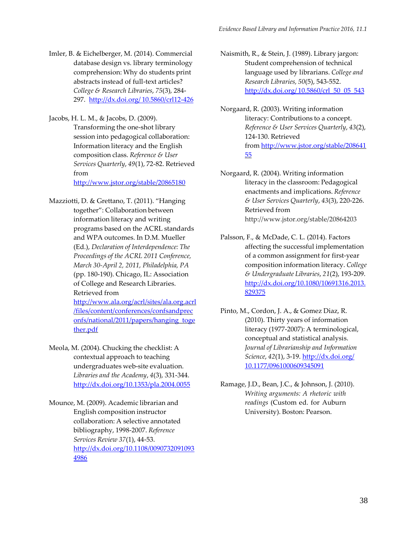Imler, B. & Eichelberger, M. (2014). Commercial database design vs. library terminology comprehension: Why do students print abstracts instead of full-text articles? *College & Research Libraries*, *75*(3), 284- 297. [http://dx.doi.org/](http://dx.doi.org/%2010.5860/crl12-426) 10.5860/crl12-426

Jacobs, H. L. M., & Jacobs, D. (2009).

Transforming the one-shot library session into pedagogical collaboration: Information literacy and the English composition class. *Reference & User Services Quarterly*, *49*(1), 72-82. Retrieved from <http://www.jstor.org/stable/20865180>

- Mazziotti, D. & Grettano, T. (2011). "Hanging together": Collaboration between information literacy and writing programs based on the ACRL standards and WPA outcomes. In D.M. Mueller (Ed.), *Declaration of Interdependence: The Proceedings of the ACRL 2011 Conference, March 30-April 2, 2011, Philadelphia, PA*  (pp. 180-190). Chicago, IL: Association of College and Research Libraries. Retrieved from [http://www.ala.org/acrl/sites/ala.org.acrl](http://www.ala.org/acrl/sites/ala.org.acrl/files/content/conferences/confsandpreconfs/national/2011/papers/hanging_together.pdf) [/files/content/conferences/confsandprec](http://www.ala.org/acrl/sites/ala.org.acrl/files/content/conferences/confsandpreconfs/national/2011/papers/hanging_together.pdf) [onfs/national/2011/papers/hanging\\_toge](http://www.ala.org/acrl/sites/ala.org.acrl/files/content/conferences/confsandpreconfs/national/2011/papers/hanging_together.pdf) [ther.pdf](http://www.ala.org/acrl/sites/ala.org.acrl/files/content/conferences/confsandpreconfs/national/2011/papers/hanging_together.pdf)
- Meola, M. (2004). Chucking the checklist: A contextual approach to teaching undergraduates web-site evaluation. *Libraries and the Academy*, *4*(3), 331-344. <http://dx.doi.org/10.1353/pla.2004.0055>

Mounce, M. (2009). Academic librarian and English composition instructor collaboration: A selective annotated bibliography, 1998-2007. *Reference Services Review 37*(1), 44-53. [http://dx.doi.org/10.1108/0090732091093](http://dx.doi.org/10.1108/00907320910934986) [4986](http://dx.doi.org/10.1108/00907320910934986)

Naismith, R., & Stein, J. (1989). Library jargon: Student comprehension of technical language used by librarians. *College and Research Libraries, 50*(5), 543-552. http://dx.doi.org/ [10.5860/crl\\_50\\_05\\_543](http://dx.doi.org/%2010.5860/crl_50_05_543)

Norgaard, R. (2003). Writing information literacy: Contributions to a concept. *Reference & User Services Quarterly*, *43*(2), 124-130. Retrieved from [http://www.jstor.org/stable/208641](http://www.jstor.org/stable/20864155) [55](http://www.jstor.org/stable/20864155)

Norgaard, R. (2004). Writing information literacy in the classroom: Pedagogical enactments and implications. *Reference & User Services Quarterly*, *43*(3), 220-226. Retrieved from <http://www.jstor.org/stable/20864203>

- Palsson, F., & McDade, C. L. (2014). Factors affecting the successful implementation of a common assignment for first-year composition information literacy. *College & Undergraduate Libraries*, *21*(2), 193-209. [http://dx.doi.org/10.1080/10691316.2013.](http://dx.doi.org/10.1080/10691316.2013.829375) [829375](http://dx.doi.org/10.1080/10691316.2013.829375)
- Pinto, M., Cordon, J. A., & Gomez Diaz, R. (2010). Thirty years of information literacy (1977-2007): A terminological, conceptual and statistical analysis. *Journal of Librarianship and Information Science*, *42*(1), 3-19. [http://dx.doi.org/](http://dx.doi.org/%2010.1177/0961000609345091) [10.1177/0961000609345091](http://dx.doi.org/%2010.1177/0961000609345091)
- Ramage, J.D., Bean, J.C., & Johnson, J. (2010). *Writing arguments: A rhetoric with readings* (Custom ed. for Auburn University). Boston: Pearson.